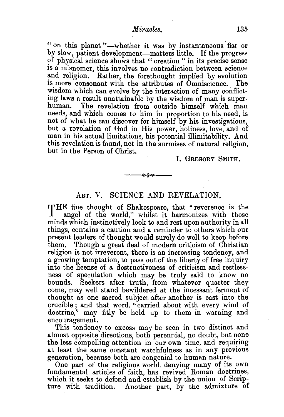"on this planet "-whether it was by instantaneous fiat or by slow, patient development-matters little. If the progress of physical science shows that "creation" in its precise sense is a misnomer, this involves no contradiction between science and religion. Rather, the forethought implied by evolution IS more consonant with the attributes of Omniscience. The wisdom which can evolve by the interaction of many conflicting laws a result unattainable by the wisdom of man is superhuman. The revelation from outside himself which man needs, and which comes to him in proportion to his need, is not of what he can discover for himself by his investigations, but a revelation of God in His power, holiness, love, and of man in his actual limitations, his potential illimitability. And this revelation is found, not in the surmises of natural religion, but in the Person of Christ.

I. GREGORY SMITH.

## ART. V.-SCIENCE AND REVELATION.

~--

'}1HE fine thought of Shakespeare, that "reverence is the angel of the world," whilst it harmonizes with those minds which instinctively look to and rest upon authority in all things, contains a caution and a reminder to others which our present leaders of thought would surely do well to keep before them. Though a great deal of modern criticism of Christian religion is not irreverent, there is an increasing tendency, and a growing temptation, to pass out of the liberty of free inquiry into the license of a destructiveness of criticism and restlessness of speculation which mav be truly said to know no bounds. Seekers after truth, from whatever quarter they come, may well stand bewildered at the incessant ferment of thought as one sacred subject after another is cast into the crucible ; and that word, "carried about with every wind of doctrine," may fitly be held up to them in warning and encouragement.

This tendency to excess may be seen in two distinct and almost opposite directions, both perennial, no doubt, but none the less compelling attention in our own time, and requiring at least the same constant watchfulness as in any previous generation, because both are congenial to human nature.

One part of the religious world, denying many of its own fundamental articles of faith, has revived Roman doctrines, which it seeks to defend and establish by the union of Scripture with tradition. Another part, by the admixture of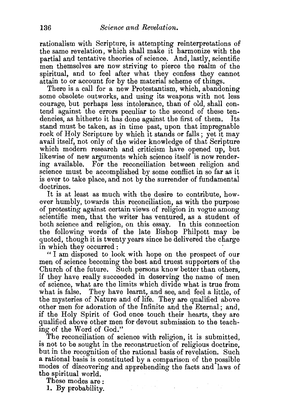rationalism with Scripture, is attempting reinterpretations of the same revelation, which shall make it harmonize with the partial and tentative theories of science. And, lastly, scientific men themselves are now striving to pierce the realm of the spiritual, and to feel after what they confess they cannot attain to or account for by the material scheme of things.

There is a call for a new Protestantism, which, abandoning some obsolete outworks, and using its weapons with not less courage, but perhaps less intolerance, than of old, shall contend against the errors peculiar to the second of these tendencies, as hitherto it has done against the first of them. Its stand must be taken, as in time past, upon that impregnable rock of Holy Scripture by which it stands or falls; yet it may avail itself, not only of the wider knowledge of that Scripture which modern research and criticism have opened up, but likewise of new arguments which science itself is now rendering available. For the reconciliation between religion and science must be accomplished by some conflict in so far as it is ever to take place, and not by the surrender of fundamental doctrines.

It is at least as much with the desire to contribute, however humbly, towards this reconciliation, as with the purpose of protesting against certain views of religion in vogue among scientific men, that the writer has ventured, as a student of both science and religion, on this essay. In this connection the following words of the late Bishop Philpott may be quoted, though it is twenty years since he delivered the charge

in which they occurred :<br>"I am disposed to look with hope on the prospect of our men of science becoming the best and truest supporters of the Church of the future. Such persons know better than others, if they have really succeeded in deserving the name of men of science, what are the limits which divide what is true from what is false. They have learnt, and see, and feel a little, of the mysteries of Nature and of life. They are qualified above other men for adoration of the Infinite and the Eternal; and, if the Holy Spirit of God once touch their hearts, they are qualified above other men for devout submission to the teaching of the Word of God."

The reconciliation of science with religion, it is submitted, is not to be sought in the reconstruction of religious doctrine, but in the recognition of the rational basis of revelation. Such a rational basis is constituted by a comparison of the possible modes of discovering and apprehending the facts and laws of the spiritual world.

provincia de la construcción del

These modes are :

1. By probability.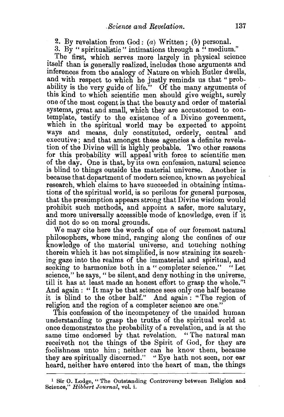2. By revelation from God:  $(a)$  Written;  $(b)$  personal.<br>3. By "spiritualistic" intimations through a "medium."

The first, which serves more largely in physical science itself than is generally realized, includes those arguments and mferences from the analogy of Nature on which Butler dwells, and with respect to which he justly reminds us that "probability is the very guide of life." Of the many arguments of this kind to which scientific men should give weight, surely one of the most cogent is that the beauty and order of material systems, great and small, which they are accustomed to contemplate, testify to the existence of a Divine government, which in the spiritual world may be expected to appoint ways and means, duly constituted, orderly, central and executive; and that amongst these agencies a definite revelation of the Divine will is highly probable. Two other reasons for this probability will appeal with force to scientific men of the day. One is that, by its own confession, natural science is blind to things outside the material universe. Another is because that department of modern science, known as psychical research, which claims to have succeeded in obtaining intimations of the spiritual world, is so perilous for general purposes, that the presumption appears strong that Divine wisdom would prohibit such methods, and appoint a safer, more salutary, and more universally accessible mode of knowledge, even if it did not do so on moral grounds.

We may cite here the words of one of our foremost natural philosophers, whose mind, ranging along the confines of our knowledge of the material universe, and touching nothing therein which it has not simplified, is now straining its searching gaze into the realms of the immaterial and spiritual, and seeking to harmonize both in a "completer science." "Let science," he says, " be silent, and deny nothing in the universe, till it has at least made an honest effort to grasp the whole."1 And again : " It may be that science sees only one half because it is blind to the other half." And again : "The region of religion and the region of a completer science are one."

This confession of the incompetency of the unaided human understanding to grasp the truths of the spiritual world at once demonstrates the probability of a revelation, and is at the same time endorsed by that revelation. "The natural man receiveth not the things of the Spirit of God, for they are foolishness unto him ; neither can he know them, because they are spiritually discerned." "Eye hath not seen, nor ear heard, neither have entered into the heart of man, the things

<sup>&</sup>lt;sup>1</sup> Sir O. Lodge, "The Outstanding Controversy between Religion and Science," *Hibbert Journal,* vol. i.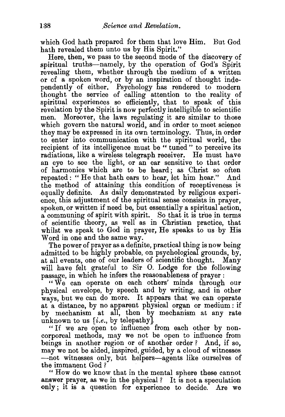which God hath prepared for them that love Him. But God hath revealed them unto us by His Spirit."

Here, then, we pass to the second mode of the discovery of spiritual truths-namely, by the operation of God's Spirit revealing them, whether through the medium of a written or of a spoken word, or by an inspiration of thought independently of either. Psychology has rendered to modern thought the service of calling attention to the reality of spiritual experiences so efficiently, that to speak of this revelation by the Spirit is now perfectly intelligible to scientific men. Moreover, the laws regulating it are similar to those which govern the natural world, and in order to meet science they may be expressed in its own terminology. Thus, in order to enter into communication with the sprritual world, the recipient of its intelligence must be "tuned" to perceive its radiations, like a wireless telegraph receiver. He must have an eye to see the light, or an ear sensitive to that order of harmonies which are to be heard; as Christ so often repeated: " He that hath ears to hear, let him hear." And the method of attaining this condition of receptiveness is equally definite. As daily demonstrated by religious experience, this adjustment of the spiritual sense consists in prayer, spoken, or written if need be, but essentially a spiritual action, a communing of spirit with spirit. So that it is true in terms of scientific theory, as well as in Christian practice, that whilst we speak to God in prayer, He speaks to us by His Word in one and the same way.

The power of prayer as a definite, practical thing is now being admitted to be highly probable, on psychological grounds, by, at all events, one of our leaders of scientific thought. Many will have felt grateful to Sir O. Lodge for the following passage, in which he infers the reasonableness of prayer :

" We can operate on each others' minds through our physical envelope, by speech and by writing, and in other ways, but we can do more. It appears that we can operate at a distance, by no apparent physical organ or medium : if by mechanism at all, then by mechanism at any rate unknown to us *[i.e.,* by telepathy].

" If we are open to influence from each other by noncorporeal methods, may we not be open to influence from beings in another region or of another order ? And, if so, may we not be aided, inspired, guided, by a cloud of witnesses --not witnesses only, but helpers--agents like ourselves of the immanent God ?

" How do we know that in the mental sphere these cannot answer prayer, as we in the physical? It is not a speculation only ; it is a question for experience to decide. Are we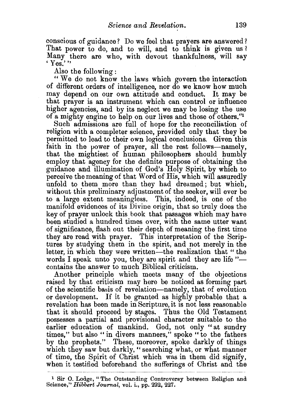conscious of guidance? Do we feel that prayers are answered? That power to do, and to will, and to think is given us? Many there are who, with devout thankfulness, will say  $'Yes$ .'"

Also the following :

" We do not know the laws which govern the interaction of different orders of intelligence, nor do we know how much may depend on our own attitude and conduct. It may be that prayer is an instrument which can control or influence higher agencies, and by its neglect we may be losing the use of a mighty engine to help on our lives and those of others."1

Such admissions are full of hope for the reconciliation of religion with a completer science, provided only that they be permitted to lead to their own logical conclusions. Given this faith in the power of prayer, all the rest follows-namely, that the mightiest of human philosophers should humbly employ that agency for the definite purpose of obtaining the guidance and illumination of God's Holy Spirit, by which to perceive the meaning of that Word of His, which will assuredly unfold to them more than they had dreamed; but which, without this preliminary adjustment of the seeker, will ever be to a large extent meaningless. This, indeed, is one of the manifold evidences of its Divine origin, that so truly does the key of prayer unlock this book that passages which may have been studied a hundred times over, with the same utter want of significance, flash out their depth of meaning the first time they are read with prayer. This interpretation of the Scriptures by studying them in the spirit, and not merely in the letter, in which they were written—the realization that " the words I speak unto you, they are spirit and they are life"contains the answer to much Biblical criticism.

Another principle which meets many of the objections raised by that criticism may here be noticed as forming part of the scientific basis of revelation-namely, that of evolution or development. If it be granted as highly probable that a revelation has been made in Scripture, it is not less reasonable that it should proceed by stages. Thus the Old Testament possesses a partial and provisional character suitable to the earlier education of mankind. God, not only "at sundry times," but also "in divers manners," spoke "to the fathers by the prophets." These, moreover, spoke darkly of things which they saw but darkly, " searching what, or what manner of time, the Spirit of Christ which was in them did signify, when it testified beforehand the sufferings of Christ and the

<sup>&</sup>lt;sup>1</sup> Sir O. Lodge, "The Outstanding Controversy between Religion and Science," *Hibbert Journal,* vol. i., pp. 222, 227.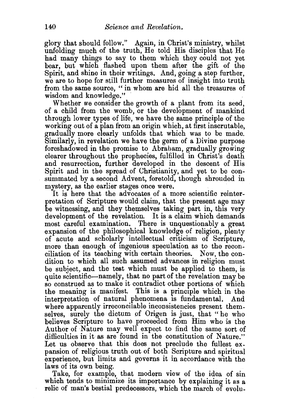glory that should follow." Again, in Christ's ministry, whilst unfolding much of the truth, He told His disciples that He had many things to say to them which they could not yet bear, but which flashed upon them after the gift of the Spirit, and shine in their writings. And, going a step further, we are to hope for still further measures of insight into truth from the same source, " in whom are hid all the treasures of wisdom and knowledge."

Whether we consider the growth of a plant from its seed, of a child from the womb, or the development of mankind through lower types of life, we have the same principle of the working out of a plan from an origin which, at first inscrutable, gradually more clearly unfolds that which was to be made. Similarly, in revelation we have the germ of a Divine purpose foreshadowed in the promise to Abraham, gradually growing clearer throughout the prophecies, fulfilled in Christ's death and resurrection, further developed in the descent of His Spirit and in the spread of Christianity, and yet to be consummated by a second Advent, foretold, though shrouded in mystery, as the earlier stages once were.

It is here that the advocates of a more scientific reinterpretation of Scripture would claim, that the present age may be witnessing, and they themselves taking part in, this very development of the revelation. It is a claim which demands most careful examination. There is unquestionably a great expansion of the philosophical knowledge of religion, plenty of acute and scholarly intellectual criticism of Scripture, more than enough of ingenious speculation as to the reconciliation of its teaching with certam theories. Now, the condition to which all such assumed advances in religion must be subject, and the test which must be applied to them, is quite scientific-namely, that no part of the revelation may be so construed as to make it contradict other portions of which the meaning is manifest. This is a principle which in the interpretation of natural phenomena is fundamental. And where apparently irreconcilable inconsistencies present themselves, surely the dictum of Origen is just, that "he who believes Scripture to have proceeded from Him who is the Author of Nature may well expect to find the same sort of difficulties in it as are found in the constitution of Nature." Let us observe that this does not preclude the fullest expansion of religious truth out of both Scripture and spiritual experience, but limits and governs it in accordance with the laws of its own being.

Take, for example, that modern view of the idea of sin which tends to minimize its importance by explaining it as a relic of man's bestial predecessors, which the march of evolu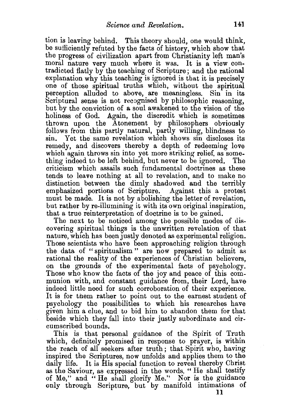tion is leaving behind. This theory should, one would think, be sufficiently refuted by the facts of history, which show that the progress of civilization apart from Christianity left man's moral nature very much where it was. It is a view contradicted flatly by the teaching of Scripture; and the rational explanation why this teaching is ignored is that it is precisely one of those spiritual truths which, without the spiritual perception alluded to above, are meaningless. Sin in its Scriptural sense is not recognised by philosophic reasoning, but by the conviction of a soul awakened to the vision of the holiness of God. Again, the discredit which is sometimes thrown upon the Atonement by philosophers obviously follows from this partly natural, partly willing, blindness to sin. Yet the same revelation which shows sin discloses its remedy, and discovers thereby a depth of redeeming love which again throws sin into yet more striking relief, as something indeed to be left behind, but never to be ignored. The criticism which assails such fundamental doctrines as these tends to leave nothing at all to revelation, and to make no distinction between the dimly shadowed and the terribly emphasized portions of Scripture. Against this a protest must be made. It is not by abolishing the letter of revelation, but rather by re-illumining it with its own original inspiration, that a true reinterpretation of doctrine is to be gained.

The next to be noticed among the possible modes of discovering spiritual things is the unwritten revelation of that nature, which has been justly denoted as experimental religion. Those scientists who have been approaching religion through the data of "spiritualism" are now prepared to admit as rational the reality of the experiences of Christian believers, on the grounds of the experimental facts of psychology. Those who know the facts of the joy and peace of this communion with, and constant guidance from, their Lord, have indeed little need for such corroboration of their experience. It is for them rather to point out to the earnest student of psychology the possibilities to which his researches have given him a clue, and to bid him to abandon them for that beside which they fall into their justly subordinate and circumscribed bounds.

This is that personal guidance of the Spirit of Truth which, definitely promised in response to prayer, is within the reach of all seekers after truth; that Spirit who, having inspired the Scriptures, now unfolds and applies them to the daily life. It is His special function to reveal thereby Christ as the Saviour, as expressed in the words, "He shall testify of Me," and "He shall glorify Me." Nor is the guidance only through Scripture, but by manifold intimations of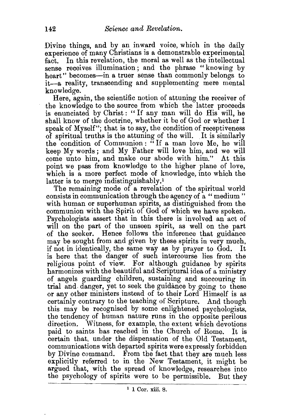Divine things, and by an inward voice, which in the daily experience of many Christians is a demonstrable experimental fact. In this revelation, the moral as well as the intellectual sense receives illumination ; and the phrase "knowing by heart" becomes—in a truer sense than commonly belongs to it-a reality, transcending and supplementing mere mental knowledge.

Here, again, the scientific notion of attuning the receiver of the knowledge to the source from which the latter proceeds is enunciated by Christ : "If any man will do His will, he shall know of the doctrine, whether it be of God or whether I speak of Myself"; that is to say, the condition of receptiveness of spiritual truths is the attuning of the will. It is similarly the condition of Communion : " If a man love Me, he will keep My words ; and My Father will love him, and we will come unto him, and make our abode with him." At this point we pass from knowledge to the higher plane of love, which is a more perfect mode of knowledge, into which the latter is to merge indistinguishably.<sup>1</sup>

The remaining mode of a revelation of the spiritual world consists in communication through the agency of a " medium " with human or superhuman spirits, as distinguished from the communion with the Spirit of God of which we have spoken. Psychologists assert that in this there is involved an act of will on the part of the unseen spirit, as well on the part of the seeker. Hence follows the inference that guidance may be sought from and given by these spirits in very much, if not in identically, the same way as by prayer to God. It is here that the danger of such intercourse lies from the religious point of view. For although guidance by spirits harmonizes with the beautiful and Scriptural idea of a ministry of angels guarding children, sustaining and succouring in trial and. danger, yet to seek the guidance by going to these or any other ministers instead of to their Lord Himself is as certainly contrary to the teaching of Scripture. And though this may be recognised by some enlightened psychologists, the tendency of human nature runs in the opposite perilous direction. Witness, for example, the extent which devotions paid to saints has reached in the Church of Rome. It is certain that, under the dispensation of the Old Testament, communications with departed spirits were expressly forbidden by Divine command. From the fact that they are much less explicitly referred to in the New Testament, it might be argued that, with the spread of knowledge, researches into the psychology of spirits were to be permissible. But they